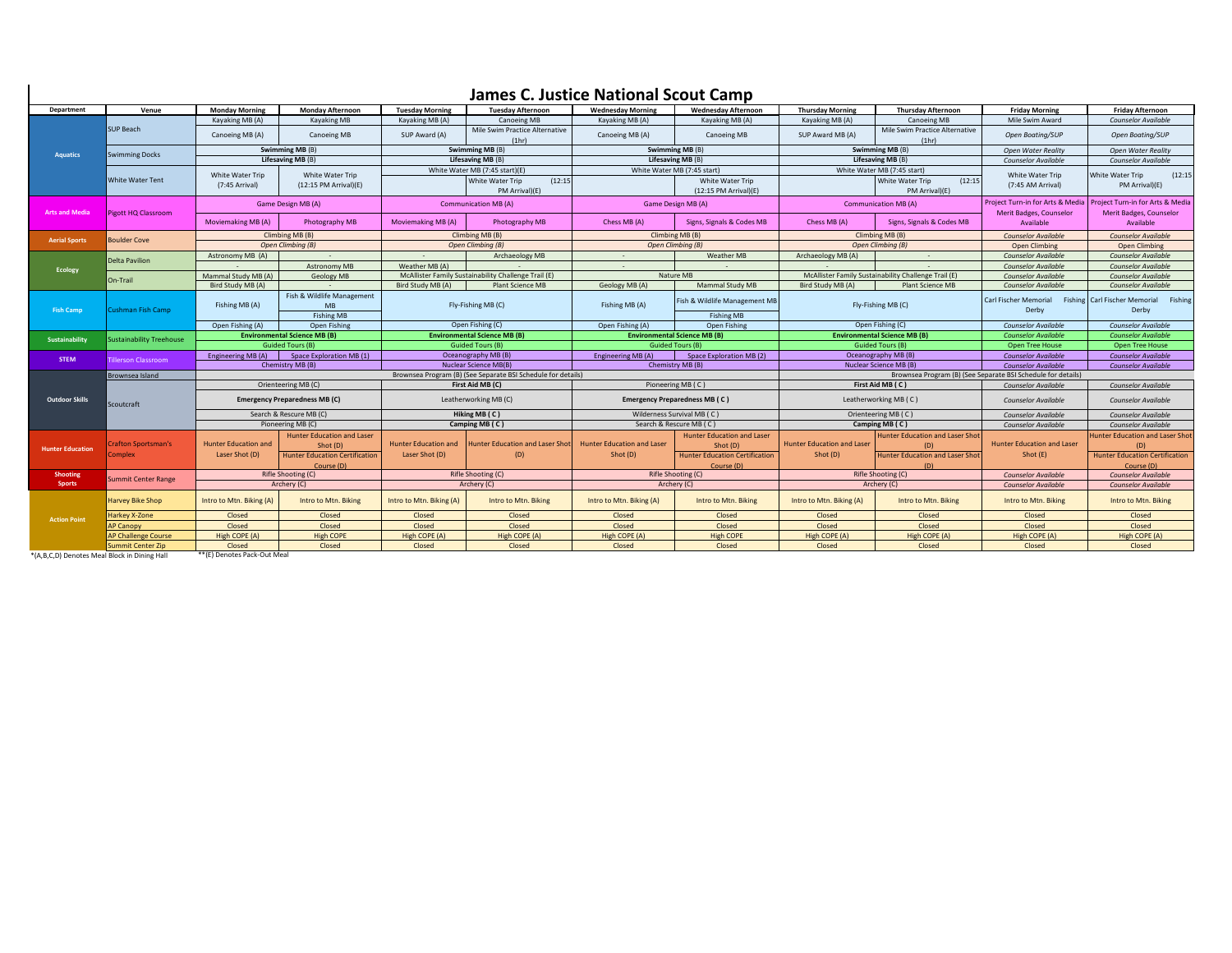## **James C. Justice National Scout Camp**

| <b>Department</b>       | Venue                           | <b>Monday Morning</b>                                          | <b>Monday Afternoon</b>               | <b>Tuesday Morning</b>                                             | <b>Tuesday Afternoon</b>                             | <b>Wednesday Morning</b>                                                | <b>Wednesday Afternoon</b>                       | <b>Thursday Morning</b>                                      | <b>Thursday Afternoon</b>                            | <b>Friday Morning</b>                                       | <b>Friday Afternoon</b>                                                |
|-------------------------|---------------------------------|----------------------------------------------------------------|---------------------------------------|--------------------------------------------------------------------|------------------------------------------------------|-------------------------------------------------------------------------|--------------------------------------------------|--------------------------------------------------------------|------------------------------------------------------|-------------------------------------------------------------|------------------------------------------------------------------------|
| <b>Aquatics</b>         | SUP Beach                       | Kayaking MB (A)                                                | Kavaking MB                           | Kavaking MB (A)                                                    | Canoeing MB                                          | Kavaking MB (A)                                                         | Kavaking MB (A)                                  | Kayaking MB (A)                                              | Canoeing MB                                          | Mile Swim Award                                             | <b>Counselor Available</b>                                             |
|                         |                                 | Canoeing MB (A)                                                | <b>Canoeing MB</b>                    | SUP Award (A)                                                      | Mile Swim Practice Alternative<br>(1hr)              | Canoeing MB (A)                                                         | Canoeing MB                                      | SUP Award MB (A)                                             | Mile Swim Practice Alternative<br>(1hr)              | Open Boating/SUP                                            | Open Boating/SUP                                                       |
|                         | <b>Swimming Docks</b>           | Swimming MB (B)                                                |                                       | Swimming MB (B)                                                    |                                                      | Swimming MB (B)                                                         |                                                  | Swimming MB (B)                                              |                                                      | <b>Open Water Reality</b>                                   | <b>Open Water Reality</b>                                              |
|                         |                                 | Lifesaving MB (B)                                              |                                       | Lifesaving MB (B)                                                  |                                                      | Lifesaving MB (B)                                                       |                                                  | Lifesaving MB (B)                                            |                                                      | <b>Counselor Available</b>                                  | <b>Counselor Available</b>                                             |
|                         | <b>White Water Tent</b>         | White Water Trip<br>White Water Trip                           |                                       | White Water MB (7:45 start)(E)                                     |                                                      | White Water MB (7:45 start)                                             |                                                  | White Water MB (7:45 start)                                  |                                                      | White Water Trip                                            | (12:15)<br>White Water Trip                                            |
|                         |                                 | (7:45 Arrival)                                                 | $(12:15$ PM Arrival) $(E)$            |                                                                    | White Water Trip<br>(12:15)<br>PM Arrival)(E)        |                                                                         | White Water Trip<br>(12:15 PM Arrival)(E)        |                                                              | (12:15)<br>White Water Trip<br>PM Arrival)(E)        | (7:45 AM Arrival)                                           | PM Arrival)(E)                                                         |
| <b>Arts and Media</b>   | <b>Pigott HQ Classroom</b>      | Game Design MB (A)                                             |                                       | <b>Communication MB (A)</b>                                        |                                                      | Game Design MB (A)                                                      |                                                  | <b>Communication MB (A)</b>                                  |                                                      | Project Turn-in for Arts & Media<br>Merit Badges, Counselor | Project Turn-in for Arts & Media<br>Merit Badges, Counselor            |
|                         |                                 | Moviemaking MB (A)                                             | Photography MB                        | Moviemaking MB (A)                                                 | Photography MB                                       | Chess MB (A)                                                            | Signs, Signals & Codes MB                        | Chess MB (A)                                                 | Signs, Signals & Codes MB                            | Available                                                   | Available                                                              |
| <b>Aerial Sports</b>    | <b>Boulder Cove</b>             | Climbing MB (B)                                                |                                       | Climbing MB (B)                                                    |                                                      | Climbing MB (B)                                                         |                                                  | Climbing MB (B)                                              |                                                      | <b>Counselor Available</b>                                  | <b>Counselor Available</b>                                             |
|                         |                                 | Open Climbing (B)                                              |                                       | Open Climbina (B)                                                  |                                                      | Open Climbina (B)                                                       |                                                  | Open Climbing (B)                                            |                                                      | Open Climbing                                               | Open Climbing                                                          |
| Ecology                 | Delta Pavilion                  | Astronomy MB (A)                                               |                                       | $\sim$                                                             | Archaeology MB                                       | $\sim$                                                                  | Weather MB                                       | Archaeology MB (A)                                           | $\sim$                                               | <b>Counselor Available</b>                                  | <b>Counselor Available</b>                                             |
|                         |                                 |                                                                | Astronomy MB                          | Weather MB (A)                                                     | McAllister Family Sustainability Challenge Trail (E) |                                                                         |                                                  |                                                              |                                                      | <b>Counselor Available</b>                                  | <b>Counselor Available</b>                                             |
|                         | On-Trail                        | Mammal Study MB (A)                                            | <b>Geology MB</b>                     |                                                                    |                                                      |                                                                         | Nature MB                                        |                                                              | McAllister Family Sustainability Challenge Trail (E) | <b>Counselor Available</b>                                  | <b>Counselor Available</b>                                             |
| <b>Fish Camp</b>        | Cushman Fish Camp               | Bird Study MB (A)                                              | Fish & Wildlife Management            | Bird Study MB (A)<br><b>Plant Science MB</b><br>Fly-Fishing MB (C) |                                                      | Geology MB (A)<br>Fishing MB (A)                                        | Mammal Study MB<br>Fish & Wildlife Management MB | Bird Study MB (A)<br><b>Plant Science MB</b>                 |                                                      | <b>Counselor Available</b><br>Carl Fischer Memorial         | <b>Counselor Available</b><br>Fishing Carl Fischer Memorial<br>Fishing |
|                         |                                 | Fishing MB (A)                                                 | <b>MB</b>                             |                                                                    |                                                      |                                                                         |                                                  |                                                              | Fly-Fishing MB (C)                                   |                                                             | Derby                                                                  |
|                         |                                 |                                                                | <b>Fishing MB</b>                     |                                                                    |                                                      |                                                                         | <b>Fishing MB</b>                                |                                                              |                                                      |                                                             |                                                                        |
|                         |                                 | Open Fishing (A)<br>Open Fishing                               |                                       | Open Fishing (C)                                                   |                                                      | Open Fishing (A)<br>Open Fishing<br><b>Environmental Science MB (B)</b> |                                                  | Open Fishing (C)<br><b>Environmental Science MB (B)</b>      |                                                      | <b>Counselor Available</b>                                  | <b>Counselor Available</b>                                             |
| Sustainability          | <b>Sustainability Treehouse</b> | <b>Environmental Science MB (B)</b><br><b>Guided Tours (B)</b> |                                       | <b>Environmental Science MB (B)</b><br><b>Guided Tours (B)</b>     |                                                      | <b>Guided Tours (B)</b>                                                 |                                                  | <b>Guided Tours (B)</b>                                      |                                                      | <b>Counselor Available</b><br>Open Tree House               | <b>Counselor Available</b><br>Open Tree House                          |
|                         |                                 | <b>Engineering MB (A)</b><br>Space Exploration MB (1)          |                                       | Oceanography MB (B)                                                |                                                      | Engineering MB (A)<br>Space Exploration MB (2)                          |                                                  | Oceanography MB (B)                                          |                                                      | <b>Counselor Available</b>                                  | <b>Counselor Available</b>                                             |
| <b>STEM</b>             | <b>Tillerson Classroom</b>      | Chemistry MB (B)                                               |                                       | Nuclear Science MB(B)                                              |                                                      | Chemistry MB (B)                                                        |                                                  | Nuclear Science MB (B)                                       |                                                      | <b>Counselor Available</b>                                  | <b>Counselor Available</b>                                             |
|                         | Brownsea Island                 |                                                                |                                       | Brownsea Program (B) (See Separate BSI Schedule for details)       |                                                      |                                                                         |                                                  | Brownsea Program (B) (See Separate BSI Schedule for details) |                                                      |                                                             |                                                                        |
|                         |                                 | Orienteering MB (C)                                            |                                       | First Aid MB (C)                                                   |                                                      | Pioneering MB (C)                                                       |                                                  | First Aid MB (C)                                             |                                                      | Counselor Available                                         | <b>Counselor Available</b>                                             |
|                         | Scoutcraft                      |                                                                |                                       |                                                                    |                                                      |                                                                         |                                                  |                                                              |                                                      |                                                             |                                                                        |
| <b>Outdoor Skills</b>   |                                 | <b>Emergency Preparedness MB (C)</b>                           |                                       | Leatherworking MB (C)                                              |                                                      | Emergency Preparedness MB (C)                                           |                                                  | Leatherworking MB (C)                                        |                                                      | <b>Counselor Available</b>                                  | Counselor Available                                                    |
|                         |                                 | Search & Rescure MB (C)                                        |                                       | Hiking MB (C)                                                      |                                                      | Wilderness Survival MB (C)                                              |                                                  | Orienteering MB (C)                                          |                                                      | <b>Counselor Available</b>                                  | <b>Counselor Available</b>                                             |
|                         |                                 | Pioneering MB (C)                                              |                                       | Camping MB (C)                                                     |                                                      | Search & Rescure MB (C)                                                 |                                                  | Camping MB (C)                                               |                                                      | Counselor Available                                         | <b>Counselor Available</b>                                             |
| <b>Hunter Education</b> | <b>Crafton Sportsman's</b>      |                                                                | <b>Hunter Education and Laser</b>     |                                                                    |                                                      | <b>Hunter Education and Laser</b>                                       | <b>Hunter Education and Laser</b>                |                                                              | <b>Hunter Education and Laser Shot</b>               |                                                             | <b>Hunter Education and Laser Shot</b>                                 |
|                         | Complex                         | <b>Hunter Education and</b><br>Laser Shot (D)                  | Shot (D)                              | <b>Hunter Education and</b><br>Laser Shot (D)                      | Hunter Education and Laser Shot<br>(D)               | Shot (D)                                                                | Shot (D)                                         | <b>Hunter Education and Laser</b><br>Shot (D)                | (D)                                                  | <b>Hunter Education and Laser</b><br>Shot (E)               | (D)                                                                    |
|                         |                                 |                                                                | <b>Hunter Education Certification</b> |                                                                    |                                                      |                                                                         | <b>Hunter Education Certification</b>            |                                                              | <b>Hunter Education and Laser Shot</b>               |                                                             | <b>Hunter Education Certification</b>                                  |
| <b>Shooting</b>         |                                 |                                                                | Course (D)<br>Rifle Shooting (C)      |                                                                    | Rifle Shooting (C)                                   |                                                                         | Course (D)<br>Rifle Shooting (C)                 |                                                              | (D)<br>Rifle Shooting (C)                            | <b>Counselor Available</b>                                  | Course (D)<br><b>Counselor Available</b>                               |
| <b>Sports</b>           | Summit Center Range             | Archery (C)                                                    |                                       | Archery (C)                                                        |                                                      | Archery (C)                                                             |                                                  | Archery (C)                                                  |                                                      | <b>Counselor Available</b>                                  | <b>Counselor Available</b>                                             |
| <b>Action Point</b>     | <b>Harvey Bike Shop</b>         | Intro to Mtn. Biking (A)                                       | Intro to Mtn. Biking                  | Intro to Mtn. Biking (A)                                           | Intro to Mtn. Biking                                 | Intro to Mtn. Biking (A)                                                | Intro to Mtn. Biking                             | Intro to Mtn. Biking (A)                                     | Intro to Mtn. Biking                                 | Intro to Mtn. Biking                                        | Intro to Mtn. Biking                                                   |
|                         | Harkey X-Zone                   | Closed                                                         | Closed                                | Closed                                                             | Closed                                               | Closed                                                                  | Closed                                           | Closed                                                       | Closed                                               | Closed                                                      | Closed                                                                 |
|                         | <b>AP Canopy</b>                | Closed                                                         | Closed                                | Closed                                                             | Closed                                               | Closed                                                                  | Closed                                           | Closed                                                       | Closed                                               | Closed                                                      | Closed                                                                 |
|                         | <b>AP Challenge Course</b>      | High COPE (A)                                                  | <b>High COPE</b>                      | High COPE (A)                                                      | High COPE (A)                                        | High COPE (A)                                                           | <b>High COPE</b>                                 | High COPE (A)                                                | High COPE (A)                                        | High COPE (A)                                               | High COPE (A)                                                          |
|                         | Summit Center Zip               | Closed                                                         | Closed                                | Closed                                                             | Closed                                               | Closed                                                                  | Closed                                           | Closed                                                       | Closed                                               | Closed                                                      | Closed                                                                 |
|                         |                                 |                                                                |                                       |                                                                    |                                                      |                                                                         |                                                  |                                                              |                                                      |                                                             |                                                                        |

\*(A,B,C,D) Denotes Meal Block in Dining Hall

 $\overline{\phantom{a}}$ 

\*\*(E) Denotes Pack-Out Meal